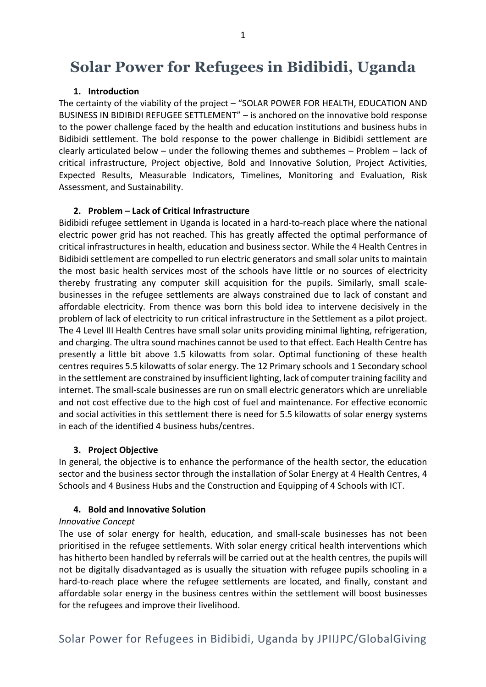# **Solar Power for Refugees in Bidibidi, Uganda**

#### **1. Introduction**

The certainty of the viability of the project – "SOLAR POWER FOR HEALTH, EDUCATION AND BUSINESS IN BIDIBIDI REFUGEE SETTLEMENT" – is anchored on the innovative bold response to the power challenge faced by the health and education institutions and business hubs in Bidibidi settlement. The bold response to the power challenge in Bidibidi settlement are clearly articulated below – under the following themes and subthemes – Problem – lack of critical infrastructure, Project objective, Bold and Innovative Solution, Project Activities, Expected Results, Measurable Indicators, Timelines, Monitoring and Evaluation, Risk Assessment, and Sustainability.

#### **2. Problem – Lack of Critical Infrastructure**

Bidibidi refugee settlement in Uganda is located in a hard-to-reach place where the national electric power grid has not reached. This has greatly affected the optimal performance of critical infrastructures in health, education and business sector. While the 4 Health Centres in Bidibidi settlement are compelled to run electric generators and small solar units to maintain the most basic health services most of the schools have little or no sources of electricity thereby frustrating any computer skill acquisition for the pupils. Similarly, small scalebusinesses in the refugee settlements are always constrained due to lack of constant and affordable electricity. From thence was born this bold idea to intervene decisively in the problem of lack of electricity to run critical infrastructure in the Settlement as a pilot project. The 4 Level III Health Centres have small solar units providing minimal lighting, refrigeration, and charging. The ultra sound machines cannot be used to that effect. Each Health Centre has presently a little bit above 1.5 kilowatts from solar. Optimal functioning of these health centres requires 5.5 kilowatts of solar energy. The 12 Primary schools and 1 Secondary school in the settlement are constrained by insufficient lighting, lack of computer training facility and internet. The small-scale businesses are run on small electric generators which are unreliable and not cost effective due to the high cost of fuel and maintenance. For effective economic and social activities in this settlement there is need for 5.5 kilowatts of solar energy systems in each of the identified 4 business hubs/centres.

#### **3. Project Objective**

In general, the objective is to enhance the performance of the health sector, the education sector and the business sector through the installation of Solar Energy at 4 Health Centres, 4 Schools and 4 Business Hubs and the Construction and Equipping of 4 Schools with ICT.

#### **4. Bold and Innovative Solution**

#### *Innovative Concept*

The use of solar energy for health, education, and small-scale businesses has not been prioritised in the refugee settlements. With solar energy critical health interventions which has hitherto been handled by referrals will be carried out at the health centres, the pupils will not be digitally disadvantaged as is usually the situation with refugee pupils schooling in a hard-to-reach place where the refugee settlements are located, and finally, constant and affordable solar energy in the business centres within the settlement will boost businesses for the refugees and improve their livelihood.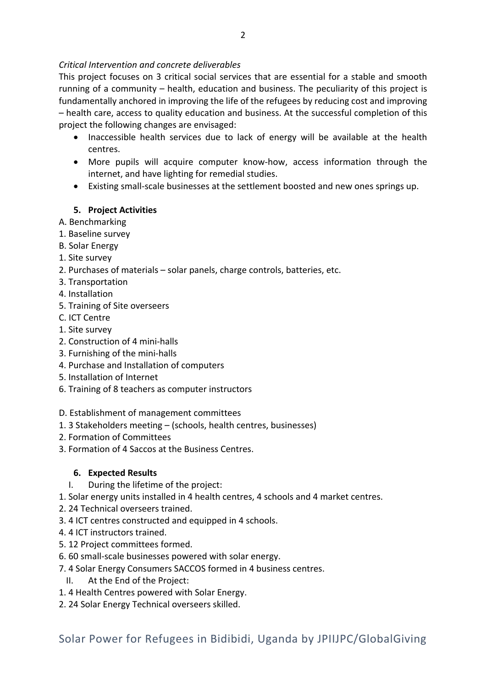# *Critical Intervention and concrete deliverables*

This project focuses on 3 critical social services that are essential for a stable and smooth running of a community – health, education and business. The peculiarity of this project is fundamentally anchored in improving the life of the refugees by reducing cost and improving – health care, access to quality education and business. At the successful completion of this project the following changes are envisaged:

- Inaccessible health services due to lack of energy will be available at the health centres.
- More pupils will acquire computer know-how, access information through the internet, and have lighting for remedial studies.
- Existing small-scale businesses at the settlement boosted and new ones springs up.

# **5. Project Activities**

- A. Benchmarking
- 1. Baseline survey
- B. Solar Energy
- 1. Site survey
- 2. Purchases of materials solar panels, charge controls, batteries, etc.
- 3. Transportation
- 4. Installation
- 5. Training of Site overseers
- C. ICT Centre
- 1. Site survey
- 2. Construction of 4 mini-halls
- 3. Furnishing of the mini-halls
- 4. Purchase and Installation of computers
- 5. Installation of Internet
- 6. Training of 8 teachers as computer instructors
- D. Establishment of management committees
- 1. 3 Stakeholders meeting (schools, health centres, businesses)
- 2. Formation of Committees
- 3. Formation of 4 Saccos at the Business Centres.

# **6. Expected Results**

- I. During the lifetime of the project:
- 1. Solar energy units installed in 4 health centres, 4 schools and 4 market centres.
- 2. 24 Technical overseers trained.
- 3. 4 ICT centres constructed and equipped in 4 schools.
- 4. 4 ICT instructors trained.
- 5. 12 Project committees formed.
- 6. 60 small-scale businesses powered with solar energy.
- 7. 4 Solar Energy Consumers SACCOS formed in 4 business centres.
- II. At the End of the Project:
- 1. 4 Health Centres powered with Solar Energy.
- 2. 24 Solar Energy Technical overseers skilled.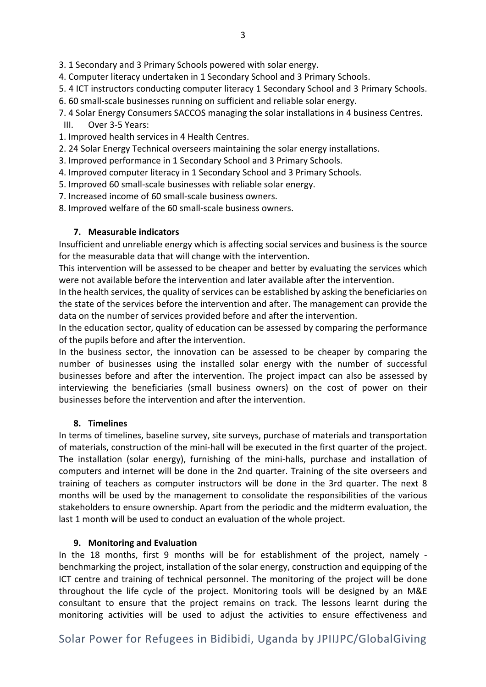3. 1 Secondary and 3 Primary Schools powered with solar energy.

- 4. Computer literacy undertaken in 1 Secondary School and 3 Primary Schools.
- 5. 4 ICT instructors conducting computer literacy 1 Secondary School and 3 Primary Schools.
- 6. 60 small-scale businesses running on sufficient and reliable solar energy.
- 7. 4 Solar Energy Consumers SACCOS managing the solar installations in 4 business Centres. III. Over 3-5 Years:
- 1. Improved health services in 4 Health Centres.
- 2. 24 Solar Energy Technical overseers maintaining the solar energy installations.
- 3. Improved performance in 1 Secondary School and 3 Primary Schools.
- 4. Improved computer literacy in 1 Secondary School and 3 Primary Schools.
- 5. Improved 60 small-scale businesses with reliable solar energy.
- 7. Increased income of 60 small-scale business owners.
- 8. Improved welfare of the 60 small-scale business owners.

# **7. Measurable indicators**

Insufficient and unreliable energy which is affecting social services and business is the source for the measurable data that will change with the intervention.

This intervention will be assessed to be cheaper and better by evaluating the services which were not available before the intervention and later available after the intervention.

In the health services, the quality of services can be established by asking the beneficiaries on the state of the services before the intervention and after. The management can provide the data on the number of services provided before and after the intervention.

In the education sector, quality of education can be assessed by comparing the performance of the pupils before and after the intervention.

In the business sector, the innovation can be assessed to be cheaper by comparing the number of businesses using the installed solar energy with the number of successful businesses before and after the intervention. The project impact can also be assessed by interviewing the beneficiaries (small business owners) on the cost of power on their businesses before the intervention and after the intervention.

# **8. Timelines**

In terms of timelines, baseline survey, site surveys, purchase of materials and transportation of materials, construction of the mini-hall will be executed in the first quarter of the project. The installation (solar energy), furnishing of the mini-halls, purchase and installation of computers and internet will be done in the 2nd quarter. Training of the site overseers and training of teachers as computer instructors will be done in the 3rd quarter. The next 8 months will be used by the management to consolidate the responsibilities of the various stakeholders to ensure ownership. Apart from the periodic and the midterm evaluation, the last 1 month will be used to conduct an evaluation of the whole project.

# **9. Monitoring and Evaluation**

In the 18 months, first 9 months will be for establishment of the project, namely benchmarking the project, installation of the solar energy, construction and equipping of the ICT centre and training of technical personnel. The monitoring of the project will be done throughout the life cycle of the project. Monitoring tools will be designed by an M&E consultant to ensure that the project remains on track. The lessons learnt during the monitoring activities will be used to adjust the activities to ensure effectiveness and

# Solar Power for Refugees in Bidibidi, Uganda by JPIIJPC/GlobalGiving